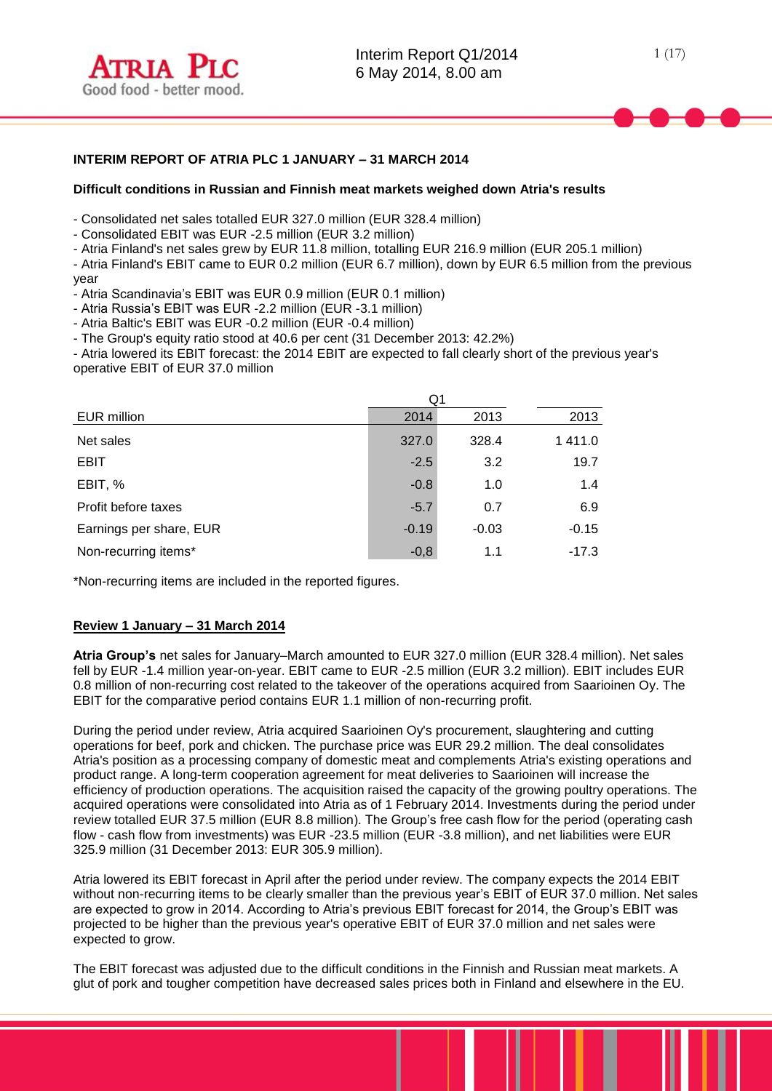# **INTERIM REPORT OF ATRIA PLC 1 JANUARY – 31 MARCH 2014**

## **Difficult conditions in Russian and Finnish meat markets weighed down Atria's results**

- Consolidated net sales totalled EUR 327.0 million (EUR 328.4 million)

- Consolidated EBIT was EUR -2.5 million (EUR 3.2 million)

- Atria Finland's net sales grew by EUR 11.8 million, totalling EUR 216.9 million (EUR 205.1 million)

- Atria Finland's EBIT came to EUR 0.2 million (EUR 6.7 million), down by EUR 6.5 million from the previous year

- Atria Scandinavia's EBIT was EUR 0.9 million (EUR 0.1 million)

- Atria Russia's EBIT was EUR -2.2 million (EUR -3.1 million)

- Atria Baltic's EBIT was EUR -0.2 million (EUR -0.4 million)

- The Group's equity ratio stood at 40.6 per cent (31 December 2013: 42.2%)

- Atria lowered its EBIT forecast: the 2014 EBIT are expected to fall clearly short of the previous year's operative EBIT of EUR 37.0 million

|                         | Q1      |         |         |
|-------------------------|---------|---------|---------|
| EUR million             | 2014    | 2013    | 2013    |
| Net sales               | 327.0   | 328.4   | 1411.0  |
| <b>EBIT</b>             | $-2.5$  | 3.2     | 19.7    |
| EBIT, %                 | $-0.8$  | 1.0     | 1.4     |
| Profit before taxes     | $-5.7$  | 0.7     | 6.9     |
| Earnings per share, EUR | $-0.19$ | $-0.03$ | $-0.15$ |
| Non-recurring items*    | $-0,8$  | 1.1     | $-17.3$ |

\*Non-recurring items are included in the reported figures.

# **Review 1 January – 31 March 2014**

**Atria Group's** net sales for January–March amounted to EUR 327.0 million (EUR 328.4 million). Net sales fell by EUR -1.4 million year-on-year. EBIT came to EUR -2.5 million (EUR 3.2 million). EBIT includes EUR 0.8 million of non-recurring cost related to the takeover of the operations acquired from Saarioinen Oy. The EBIT for the comparative period contains EUR 1.1 million of non-recurring profit.

During the period under review, Atria acquired Saarioinen Oy's procurement, slaughtering and cutting operations for beef, pork and chicken. The purchase price was EUR 29.2 million. The deal consolidates Atria's position as a processing company of domestic meat and complements Atria's existing operations and product range. A long-term cooperation agreement for meat deliveries to Saarioinen will increase the efficiency of production operations. The acquisition raised the capacity of the growing poultry operations. The acquired operations were consolidated into Atria as of 1 February 2014. Investments during the period under review totalled EUR 37.5 million (EUR 8.8 million). The Group's free cash flow for the period (operating cash flow - cash flow from investments) was EUR -23.5 million (EUR -3.8 million), and net liabilities were EUR 325.9 million (31 December 2013: EUR 305.9 million).

Atria lowered its EBIT forecast in April after the period under review. The company expects the 2014 EBIT without non-recurring items to be clearly smaller than the previous year's EBIT of EUR 37.0 million. Net sales are expected to grow in 2014. According to Atria's previous EBIT forecast for 2014, the Group's EBIT was projected to be higher than the previous year's operative EBIT of EUR 37.0 million and net sales were expected to grow.

The EBIT forecast was adjusted due to the difficult conditions in the Finnish and Russian meat markets. A glut of pork and tougher competition have decreased sales prices both in Finland and elsewhere in the EU.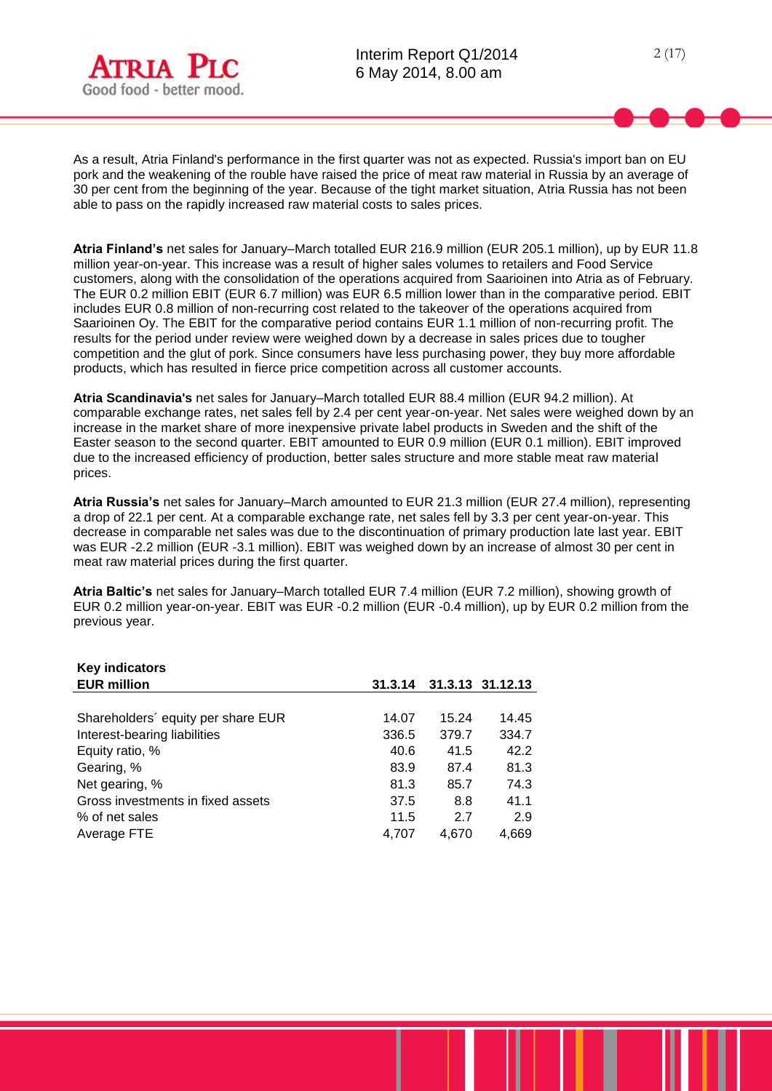**Key indicators**

As a result, Atria Finland's performance in the first quarter was not as expected. Russia's import ban on EU pork and the weakening of the rouble have raised the price of meat raw material in Russia by an average of 30 per cent from the beginning of the year. Because of the tight market situation, Atria Russia has not been able to pass on the rapidly increased raw material costs to sales prices.

**Atria Finland's** net sales for January–March totalled EUR 216.9 million (EUR 205.1 million), up by EUR 11.8 million year-on-year. This increase was a result of higher sales volumes to retailers and Food Service customers, along with the consolidation of the operations acquired from Saarioinen into Atria as of February. The EUR 0.2 million EBIT (EUR 6.7 million) was EUR 6.5 million lower than in the comparative period. EBIT includes EUR 0.8 million of non-recurring cost related to the takeover of the operations acquired from Saarioinen Oy. The EBIT for the comparative period contains EUR 1.1 million of non-recurring profit. The results for the period under review were weighed down by a decrease in sales prices due to tougher competition and the glut of pork. Since consumers have less purchasing power, they buy more affordable products, which has resulted in fierce price competition across all customer accounts.

**Atria Scandinavia's** net sales for January–March totalled EUR 88.4 million (EUR 94.2 million). At comparable exchange rates, net sales fell by 2.4 per cent year-on-year. Net sales were weighed down by an increase in the market share of more inexpensive private label products in Sweden and the shift of the Easter season to the second quarter. EBIT amounted to EUR 0.9 million (EUR 0.1 million). EBIT improved due to the increased efficiency of production, better sales structure and more stable meat raw material prices.

**Atria Russia's** net sales for January–March amounted to EUR 21.3 million (EUR 27.4 million), representing a drop of 22.1 per cent. At a comparable exchange rate, net sales fell by 3.3 per cent year-on-year. This decrease in comparable net sales was due to the discontinuation of primary production late last year. EBIT was EUR -2.2 million (EUR -3.1 million). EBIT was weighed down by an increase of almost 30 per cent in meat raw material prices during the first quarter.

**Atria Baltic's** net sales for January–March totalled EUR 7.4 million (EUR 7.2 million), showing growth of EUR 0.2 million year-on-year. EBIT was EUR -0.2 million (EUR -0.4 million), up by EUR 0.2 million from the previous year.

| <b>Rev</b> indicators              |         |       |                  |
|------------------------------------|---------|-------|------------------|
| <b>EUR million</b>                 | 31.3.14 |       | 31.3.13 31.12.13 |
|                                    |         |       |                  |
| Shareholders' equity per share EUR | 14.07   | 15.24 | 14.45            |
| Interest-bearing liabilities       | 336.5   | 379.7 | 334.7            |
| Equity ratio, %                    | 40.6    | 41.5  | 42.2             |
| Gearing, %                         | 83.9    | 87.4  | 81.3             |
| Net gearing, %                     | 81.3    | 85.7  | 74.3             |
| Gross investments in fixed assets  | 37.5    | 8.8   | 41.1             |
| % of net sales                     | 11.5    | 2.7   | 2.9              |
| Average FTE                        | 4,707   | 4.670 | 4,669            |
|                                    |         |       |                  |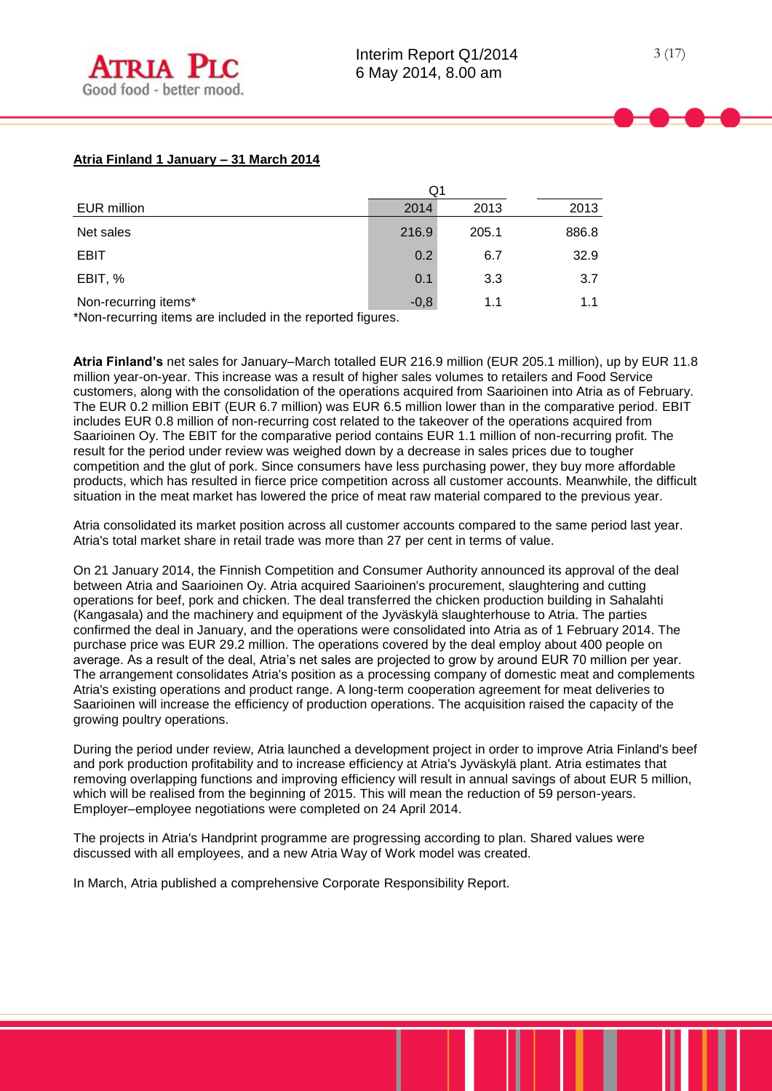# **Atria Finland 1 January – 31 March 2014**

|                      | Q1     |       |       |
|----------------------|--------|-------|-------|
| EUR million          | 2014   | 2013  | 2013  |
| Net sales            | 216.9  | 205.1 | 886.8 |
| <b>EBIT</b>          | 0.2    | 6.7   | 32.9  |
| EBIT, %              | 0.1    | 3.3   | 3.7   |
| Non-recurring items* | $-0,8$ | 1.1   | 1.1   |

\*Non-recurring items are included in the reported figures.

**Atria Finland's** net sales for January–March totalled EUR 216.9 million (EUR 205.1 million), up by EUR 11.8 million year-on-year. This increase was a result of higher sales volumes to retailers and Food Service customers, along with the consolidation of the operations acquired from Saarioinen into Atria as of February. The EUR 0.2 million EBIT (EUR 6.7 million) was EUR 6.5 million lower than in the comparative period. EBIT includes EUR 0.8 million of non-recurring cost related to the takeover of the operations acquired from Saarioinen Oy. The EBIT for the comparative period contains EUR 1.1 million of non-recurring profit. The result for the period under review was weighed down by a decrease in sales prices due to tougher competition and the glut of pork. Since consumers have less purchasing power, they buy more affordable products, which has resulted in fierce price competition across all customer accounts. Meanwhile, the difficult situation in the meat market has lowered the price of meat raw material compared to the previous year.

Atria consolidated its market position across all customer accounts compared to the same period last year. Atria's total market share in retail trade was more than 27 per cent in terms of value.

On 21 January 2014, the Finnish Competition and Consumer Authority announced its approval of the deal between Atria and Saarioinen Oy. Atria acquired Saarioinen's procurement, slaughtering and cutting operations for beef, pork and chicken. The deal transferred the chicken production building in Sahalahti (Kangasala) and the machinery and equipment of the Jyväskylä slaughterhouse to Atria. The parties confirmed the deal in January, and the operations were consolidated into Atria as of 1 February 2014. The purchase price was EUR 29.2 million. The operations covered by the deal employ about 400 people on average. As a result of the deal, Atria's net sales are projected to grow by around EUR 70 million per year. The arrangement consolidates Atria's position as a processing company of domestic meat and complements Atria's existing operations and product range. A long-term cooperation agreement for meat deliveries to Saarioinen will increase the efficiency of production operations. The acquisition raised the capacity of the growing poultry operations.

During the period under review, Atria launched a development project in order to improve Atria Finland's beef and pork production profitability and to increase efficiency at Atria's Jyväskylä plant. Atria estimates that removing overlapping functions and improving efficiency will result in annual savings of about EUR 5 million, which will be realised from the beginning of 2015. This will mean the reduction of 59 person-years. Employer–employee negotiations were completed on 24 April 2014.

The projects in Atria's Handprint programme are progressing according to plan. Shared values were discussed with all employees, and a new Atria Way of Work model was created.

In March, Atria published a comprehensive Corporate Responsibility Report.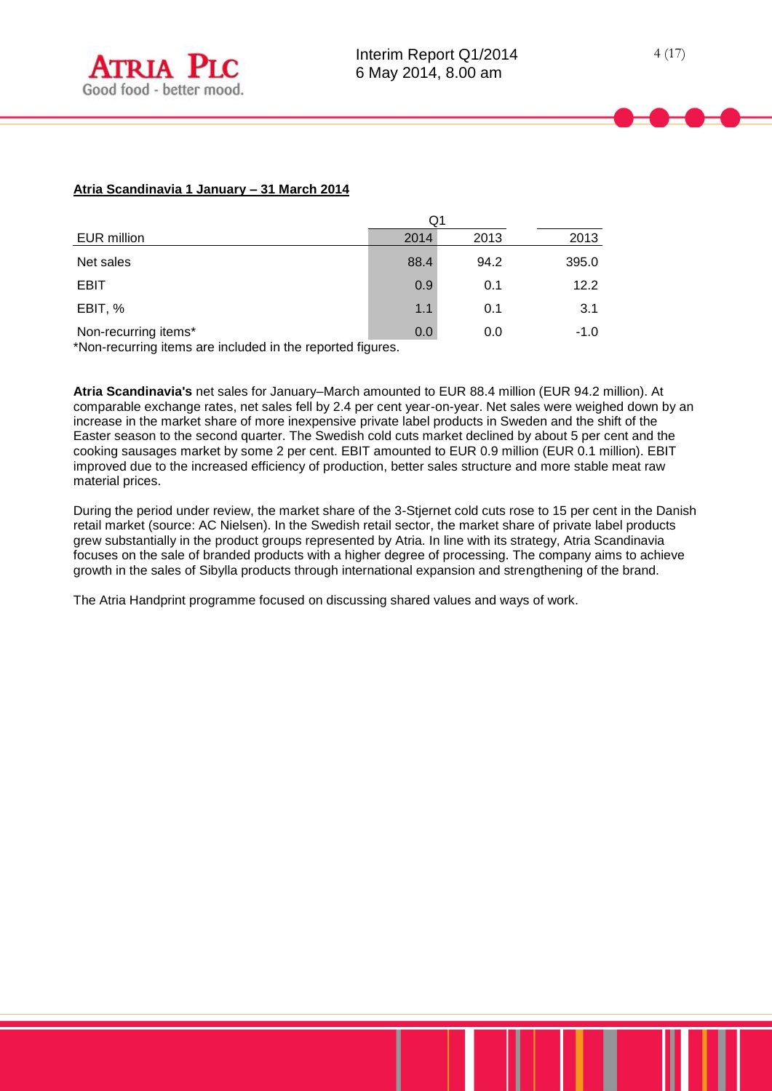# **Atria Scandinavia 1 January – 31 March 2014**

|                                                                                   | Q1   |      |        |  |
|-----------------------------------------------------------------------------------|------|------|--------|--|
| EUR million                                                                       | 2014 | 2013 | 2013   |  |
| Net sales                                                                         | 88.4 | 94.2 | 395.0  |  |
| <b>EBIT</b>                                                                       | 0.9  | 0.1  | 12.2   |  |
| EBIT, %                                                                           | 1.1  | 0.1  | 3.1    |  |
| Non-recurring items*<br>*Non requiring items are included in the reperted figures | 0.0  | 0.0  | $-1.0$ |  |

\*Non-recurring items are included in the reported figures.

**Atria Scandinavia's** net sales for January–March amounted to EUR 88.4 million (EUR 94.2 million). At comparable exchange rates, net sales fell by 2.4 per cent year-on-year. Net sales were weighed down by an increase in the market share of more inexpensive private label products in Sweden and the shift of the Easter season to the second quarter. The Swedish cold cuts market declined by about 5 per cent and the cooking sausages market by some 2 per cent. EBIT amounted to EUR 0.9 million (EUR 0.1 million). EBIT improved due to the increased efficiency of production, better sales structure and more stable meat raw material prices.

During the period under review, the market share of the 3-Stjernet cold cuts rose to 15 per cent in the Danish retail market (source: AC Nielsen). In the Swedish retail sector, the market share of private label products grew substantially in the product groups represented by Atria. In line with its strategy, Atria Scandinavia focuses on the sale of branded products with a higher degree of processing. The company aims to achieve growth in the sales of Sibylla products through international expansion and strengthening of the brand.

The Atria Handprint programme focused on discussing shared values and ways of work.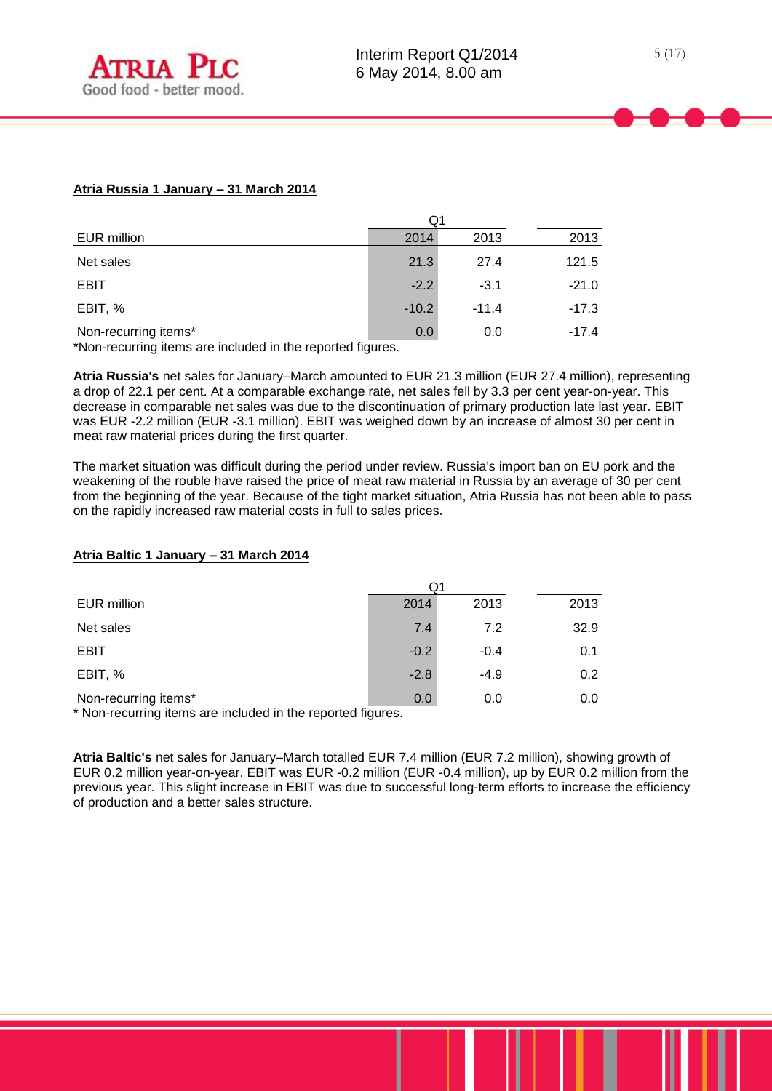# **Atria Russia 1 January – 31 March 2014**

|                                                                                   |         | Q1      |         |  |  |
|-----------------------------------------------------------------------------------|---------|---------|---------|--|--|
| EUR million                                                                       | 2014    | 2013    | 2013    |  |  |
| Net sales                                                                         | 21.3    | 27.4    | 121.5   |  |  |
| EBIT                                                                              | $-2.2$  | $-3.1$  | $-21.0$ |  |  |
| EBIT, %                                                                           | $-10.2$ | $-11.4$ | $-17.3$ |  |  |
| Non-recurring items*<br>*Non requiring items are included in the reperted figures | 0.0     | 0.0     | $-17.4$ |  |  |

\*Non-recurring items are included in the reported figures.

**Atria Russia's** net sales for January–March amounted to EUR 21.3 million (EUR 27.4 million), representing a drop of 22.1 per cent. At a comparable exchange rate, net sales fell by 3.3 per cent year-on-year. This decrease in comparable net sales was due to the discontinuation of primary production late last year. EBIT was EUR -2.2 million (EUR -3.1 million). EBIT was weighed down by an increase of almost 30 per cent in meat raw material prices during the first quarter.

The market situation was difficult during the period under review. Russia's import ban on EU pork and the weakening of the rouble have raised the price of meat raw material in Russia by an average of 30 per cent from the beginning of the year. Because of the tight market situation, Atria Russia has not been able to pass on the rapidly increased raw material costs in full to sales prices.

# Q1 EUR million 2014 2013 2013 Net sales 7.4 7.2 32.9 EBIT  $-0.2$   $-0.4$  0.1 EBIT, % -2.8 -4.9 0.2 Non-recurring items\* 0.0 0.0 0.0

# **Atria Baltic 1 January – 31 March 2014**

\* Non-recurring items are included in the reported figures.

**Atria Baltic's** net sales for January–March totalled EUR 7.4 million (EUR 7.2 million), showing growth of EUR 0.2 million year-on-year. EBIT was EUR -0.2 million (EUR -0.4 million), up by EUR 0.2 million from the previous year. This slight increase in EBIT was due to successful long-term efforts to increase the efficiency of production and a better sales structure.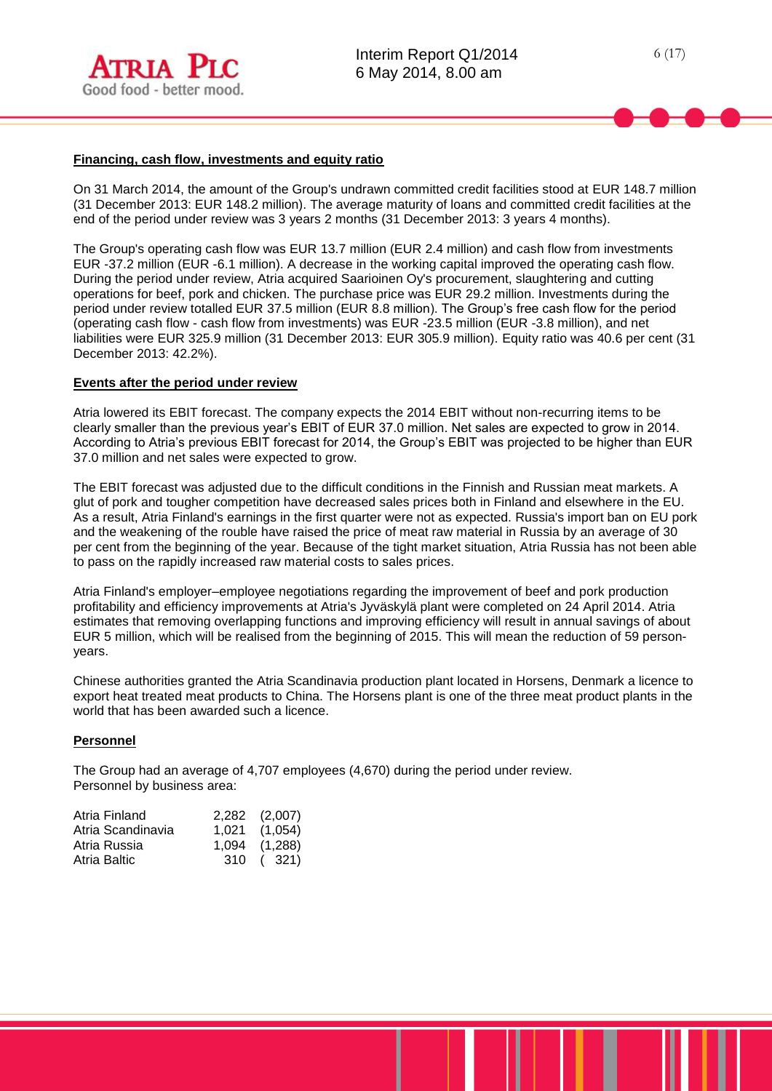

## **Financing, cash flow, investments and equity ratio**

On 31 March 2014, the amount of the Group's undrawn committed credit facilities stood at EUR 148.7 million (31 December 2013: EUR 148.2 million). The average maturity of loans and committed credit facilities at the end of the period under review was 3 years 2 months (31 December 2013: 3 years 4 months).

The Group's operating cash flow was EUR 13.7 million (EUR 2.4 million) and cash flow from investments EUR -37.2 million (EUR -6.1 million). A decrease in the working capital improved the operating cash flow. During the period under review, Atria acquired Saarioinen Oy's procurement, slaughtering and cutting operations for beef, pork and chicken. The purchase price was EUR 29.2 million. Investments during the period under review totalled EUR 37.5 million (EUR 8.8 million). The Group's free cash flow for the period (operating cash flow - cash flow from investments) was EUR -23.5 million (EUR -3.8 million), and net liabilities were EUR 325.9 million (31 December 2013: EUR 305.9 million). Equity ratio was 40.6 per cent (31 December 2013: 42.2%).

## **Events after the period under review**

Atria lowered its EBIT forecast. The company expects the 2014 EBIT without non-recurring items to be clearly smaller than the previous year's EBIT of EUR 37.0 million. Net sales are expected to grow in 2014. According to Atria's previous EBIT forecast for 2014, the Group's EBIT was projected to be higher than EUR 37.0 million and net sales were expected to grow.

The EBIT forecast was adjusted due to the difficult conditions in the Finnish and Russian meat markets. A glut of pork and tougher competition have decreased sales prices both in Finland and elsewhere in the EU. As a result, Atria Finland's earnings in the first quarter were not as expected. Russia's import ban on EU pork and the weakening of the rouble have raised the price of meat raw material in Russia by an average of 30 per cent from the beginning of the year. Because of the tight market situation, Atria Russia has not been able to pass on the rapidly increased raw material costs to sales prices.

Atria Finland's employer–employee negotiations regarding the improvement of beef and pork production profitability and efficiency improvements at Atria's Jyväskylä plant were completed on 24 April 2014. Atria estimates that removing overlapping functions and improving efficiency will result in annual savings of about EUR 5 million, which will be realised from the beginning of 2015. This will mean the reduction of 59 personyears.

Chinese authorities granted the Atria Scandinavia production plant located in Horsens, Denmark a licence to export heat treated meat products to China. The Horsens plant is one of the three meat product plants in the world that has been awarded such a licence.

#### **Personnel**

The Group had an average of 4,707 employees (4,670) during the period under review. Personnel by business area:

| Atria Finland     | 2,282 (2,007)     |
|-------------------|-------------------|
| Atria Scandinavia | $1,021$ $(1,054)$ |
| Atria Russia      | 1,094 (1,288)     |
| Atria Baltic      | 310 ( 321)        |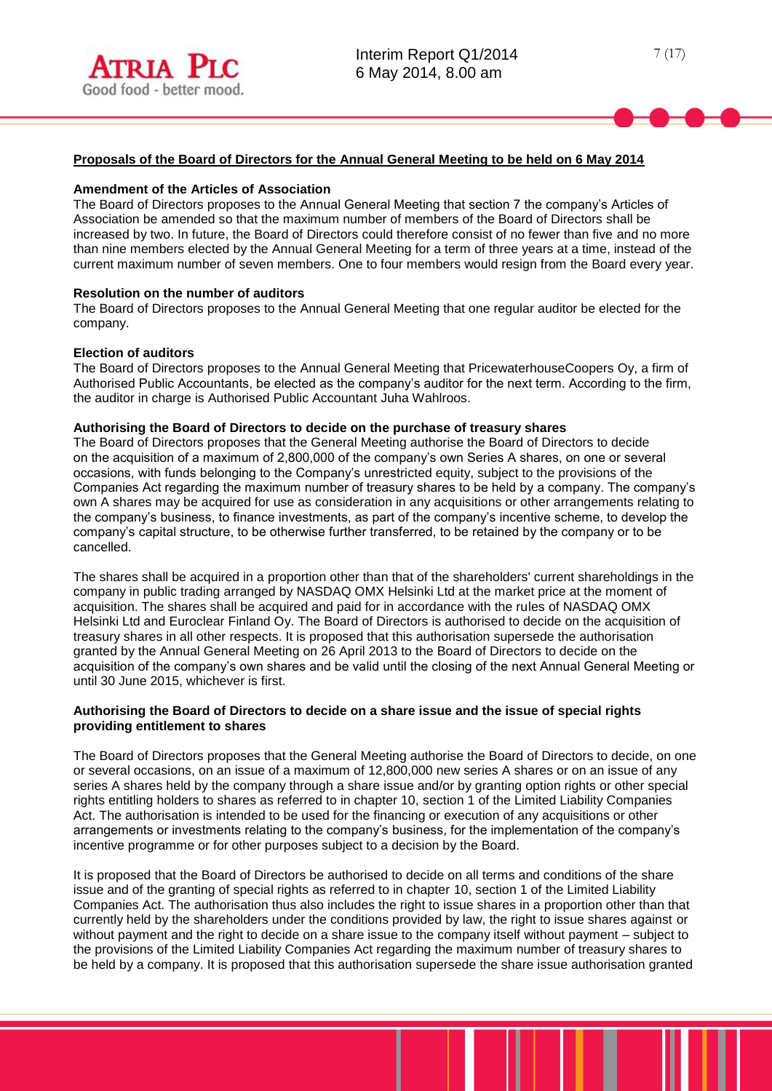# **Proposals of the Board of Directors for the Annual General Meeting to be held on 6 May 2014**

#### **Amendment of the Articles of Association**

The Board of Directors proposes to the Annual General Meeting that section 7 the company's Articles of Association be amended so that the maximum number of members of the Board of Directors shall be increased by two. In future, the Board of Directors could therefore consist of no fewer than five and no more than nine members elected by the Annual General Meeting for a term of three years at a time, instead of the current maximum number of seven members. One to four members would resign from the Board every year.

#### **Resolution on the number of auditors**

The Board of Directors proposes to the Annual General Meeting that one regular auditor be elected for the company.

#### **Election of auditors**

The Board of Directors proposes to the Annual General Meeting that PricewaterhouseCoopers Oy, a firm of Authorised Public Accountants, be elected as the company's auditor for the next term. According to the firm, the auditor in charge is Authorised Public Accountant Juha Wahlroos.

#### **Authorising the Board of Directors to decide on the purchase of treasury shares**

The Board of Directors proposes that the General Meeting authorise the Board of Directors to decide on the acquisition of a maximum of 2,800,000 of the company's own Series A shares, on one or several occasions, with funds belonging to the Company's unrestricted equity, subject to the provisions of the Companies Act regarding the maximum number of treasury shares to be held by a company. The company's own A shares may be acquired for use as consideration in any acquisitions or other arrangements relating to the company's business, to finance investments, as part of the company's incentive scheme, to develop the company's capital structure, to be otherwise further transferred, to be retained by the company or to be cancelled.

The shares shall be acquired in a proportion other than that of the shareholders' current shareholdings in the company in public trading arranged by NASDAQ OMX Helsinki Ltd at the market price at the moment of acquisition. The shares shall be acquired and paid for in accordance with the rules of NASDAQ OMX Helsinki Ltd and Euroclear Finland Oy. The Board of Directors is authorised to decide on the acquisition of treasury shares in all other respects. It is proposed that this authorisation supersede the authorisation granted by the Annual General Meeting on 26 April 2013 to the Board of Directors to decide on the acquisition of the company's own shares and be valid until the closing of the next Annual General Meeting or until 30 June 2015, whichever is first.

#### **Authorising the Board of Directors to decide on a share issue and the issue of special rights providing entitlement to shares**

The Board of Directors proposes that the General Meeting authorise the Board of Directors to decide, on one or several occasions, on an issue of a maximum of 12,800,000 new series A shares or on an issue of any series A shares held by the company through a share issue and/or by granting option rights or other special rights entitling holders to shares as referred to in chapter 10, section 1 of the Limited Liability Companies Act. The authorisation is intended to be used for the financing or execution of any acquisitions or other arrangements or investments relating to the company's business, for the implementation of the company's incentive programme or for other purposes subject to a decision by the Board.

It is proposed that the Board of Directors be authorised to decide on all terms and conditions of the share issue and of the granting of special rights as referred to in chapter 10, section 1 of the Limited Liability Companies Act. The authorisation thus also includes the right to issue shares in a proportion other than that currently held by the shareholders under the conditions provided by law, the right to issue shares against or without payment and the right to decide on a share issue to the company itself without payment – subject to the provisions of the Limited Liability Companies Act regarding the maximum number of treasury shares to be held by a company. It is proposed that this authorisation supersede the share issue authorisation granted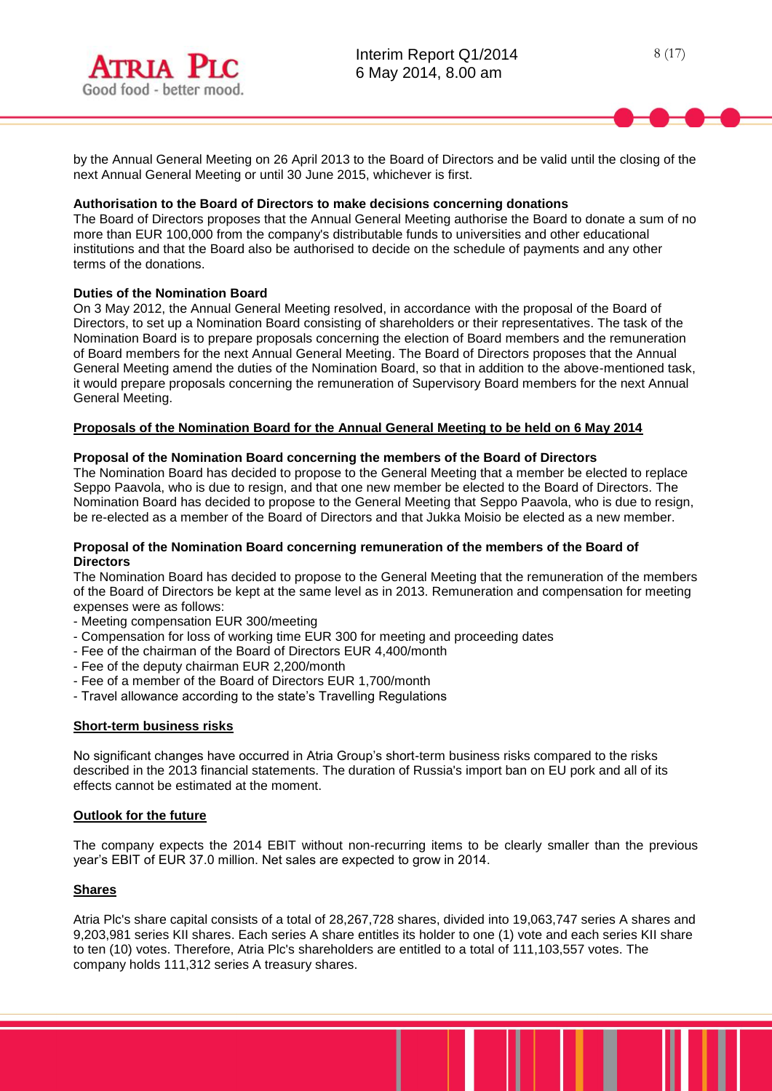by the Annual General Meeting on 26 April 2013 to the Board of Directors and be valid until the closing of the next Annual General Meeting or until 30 June 2015, whichever is first.

#### **Authorisation to the Board of Directors to make decisions concerning donations**

The Board of Directors proposes that the Annual General Meeting authorise the Board to donate a sum of no more than EUR 100,000 from the company's distributable funds to universities and other educational institutions and that the Board also be authorised to decide on the schedule of payments and any other terms of the donations.

## **Duties of the Nomination Board**

On 3 May 2012, the Annual General Meeting resolved, in accordance with the proposal of the Board of Directors, to set up a Nomination Board consisting of shareholders or their representatives. The task of the Nomination Board is to prepare proposals concerning the election of Board members and the remuneration of Board members for the next Annual General Meeting. The Board of Directors proposes that the Annual General Meeting amend the duties of the Nomination Board, so that in addition to the above-mentioned task, it would prepare proposals concerning the remuneration of Supervisory Board members for the next Annual General Meeting.

## **Proposals of the Nomination Board for the Annual General Meeting to be held on 6 May 2014**

#### **Proposal of the Nomination Board concerning the members of the Board of Directors**

The Nomination Board has decided to propose to the General Meeting that a member be elected to replace Seppo Paavola, who is due to resign, and that one new member be elected to the Board of Directors. The Nomination Board has decided to propose to the General Meeting that Seppo Paavola, who is due to resign, be re-elected as a member of the Board of Directors and that Jukka Moisio be elected as a new member.

#### **Proposal of the Nomination Board concerning remuneration of the members of the Board of Directors**

The Nomination Board has decided to propose to the General Meeting that the remuneration of the members of the Board of Directors be kept at the same level as in 2013. Remuneration and compensation for meeting expenses were as follows:

- Meeting compensation EUR 300/meeting
- Compensation for loss of working time EUR 300 for meeting and proceeding dates
- Fee of the chairman of the Board of Directors EUR 4,400/month
- Fee of the deputy chairman EUR 2,200/month
- Fee of a member of the Board of Directors EUR 1,700/month
- Travel allowance according to the state's Travelling Regulations

#### **Short-term business risks**

No significant changes have occurred in Atria Group's short-term business risks compared to the risks described in the 2013 financial statements. The duration of Russia's import ban on EU pork and all of its effects cannot be estimated at the moment.

#### **Outlook for the future**

The company expects the 2014 EBIT without non-recurring items to be clearly smaller than the previous year's EBIT of EUR 37.0 million. Net sales are expected to grow in 2014.

#### **Shares**

Atria Plc's share capital consists of a total of 28,267,728 shares, divided into 19,063,747 series A shares and 9,203,981 series KII shares. Each series A share entitles its holder to one (1) vote and each series KII share to ten (10) votes. Therefore, Atria Plc's shareholders are entitled to a total of 111,103,557 votes. The company holds 111,312 series A treasury shares.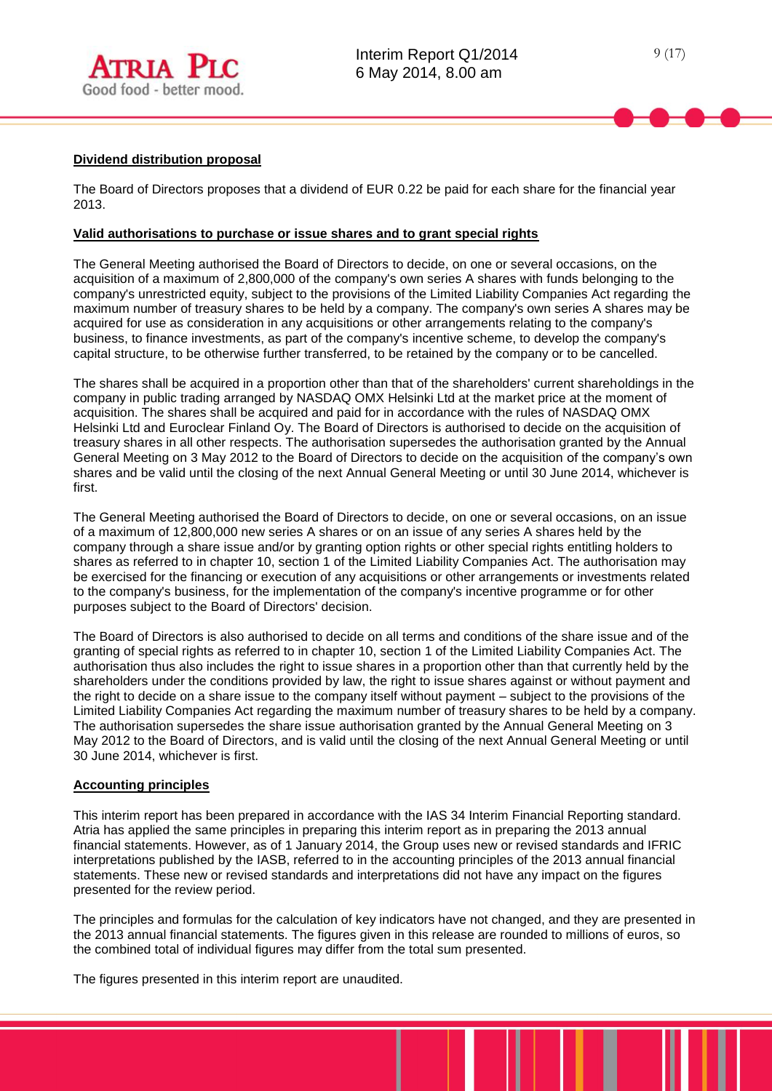

## **Dividend distribution proposal**

The Board of Directors proposes that a dividend of EUR 0.22 be paid for each share for the financial year 2013.

## **Valid authorisations to purchase or issue shares and to grant special rights**

The General Meeting authorised the Board of Directors to decide, on one or several occasions, on the acquisition of a maximum of 2,800,000 of the company's own series A shares with funds belonging to the company's unrestricted equity, subject to the provisions of the Limited Liability Companies Act regarding the maximum number of treasury shares to be held by a company. The company's own series A shares may be acquired for use as consideration in any acquisitions or other arrangements relating to the company's business, to finance investments, as part of the company's incentive scheme, to develop the company's capital structure, to be otherwise further transferred, to be retained by the company or to be cancelled.

The shares shall be acquired in a proportion other than that of the shareholders' current shareholdings in the company in public trading arranged by NASDAQ OMX Helsinki Ltd at the market price at the moment of acquisition. The shares shall be acquired and paid for in accordance with the rules of NASDAQ OMX Helsinki Ltd and Euroclear Finland Oy. The Board of Directors is authorised to decide on the acquisition of treasury shares in all other respects. The authorisation supersedes the authorisation granted by the Annual General Meeting on 3 May 2012 to the Board of Directors to decide on the acquisition of the company's own shares and be valid until the closing of the next Annual General Meeting or until 30 June 2014, whichever is first.

The General Meeting authorised the Board of Directors to decide, on one or several occasions, on an issue of a maximum of 12,800,000 new series A shares or on an issue of any series A shares held by the company through a share issue and/or by granting option rights or other special rights entitling holders to shares as referred to in chapter 10, section 1 of the Limited Liability Companies Act. The authorisation may be exercised for the financing or execution of any acquisitions or other arrangements or investments related to the company's business, for the implementation of the company's incentive programme or for other purposes subject to the Board of Directors' decision.

The Board of Directors is also authorised to decide on all terms and conditions of the share issue and of the granting of special rights as referred to in chapter 10, section 1 of the Limited Liability Companies Act. The authorisation thus also includes the right to issue shares in a proportion other than that currently held by the shareholders under the conditions provided by law, the right to issue shares against or without payment and the right to decide on a share issue to the company itself without payment – subject to the provisions of the Limited Liability Companies Act regarding the maximum number of treasury shares to be held by a company. The authorisation supersedes the share issue authorisation granted by the Annual General Meeting on 3 May 2012 to the Board of Directors, and is valid until the closing of the next Annual General Meeting or until 30 June 2014, whichever is first.

#### **Accounting principles**

This interim report has been prepared in accordance with the IAS 34 Interim Financial Reporting standard. Atria has applied the same principles in preparing this interim report as in preparing the 2013 annual financial statements. However, as of 1 January 2014, the Group uses new or revised standards and IFRIC interpretations published by the IASB, referred to in the accounting principles of the 2013 annual financial statements. These new or revised standards and interpretations did not have any impact on the figures presented for the review period.

The principles and formulas for the calculation of key indicators have not changed, and they are presented in the 2013 annual financial statements. The figures given in this release are rounded to millions of euros, so the combined total of individual figures may differ from the total sum presented.

The figures presented in this interim report are unaudited.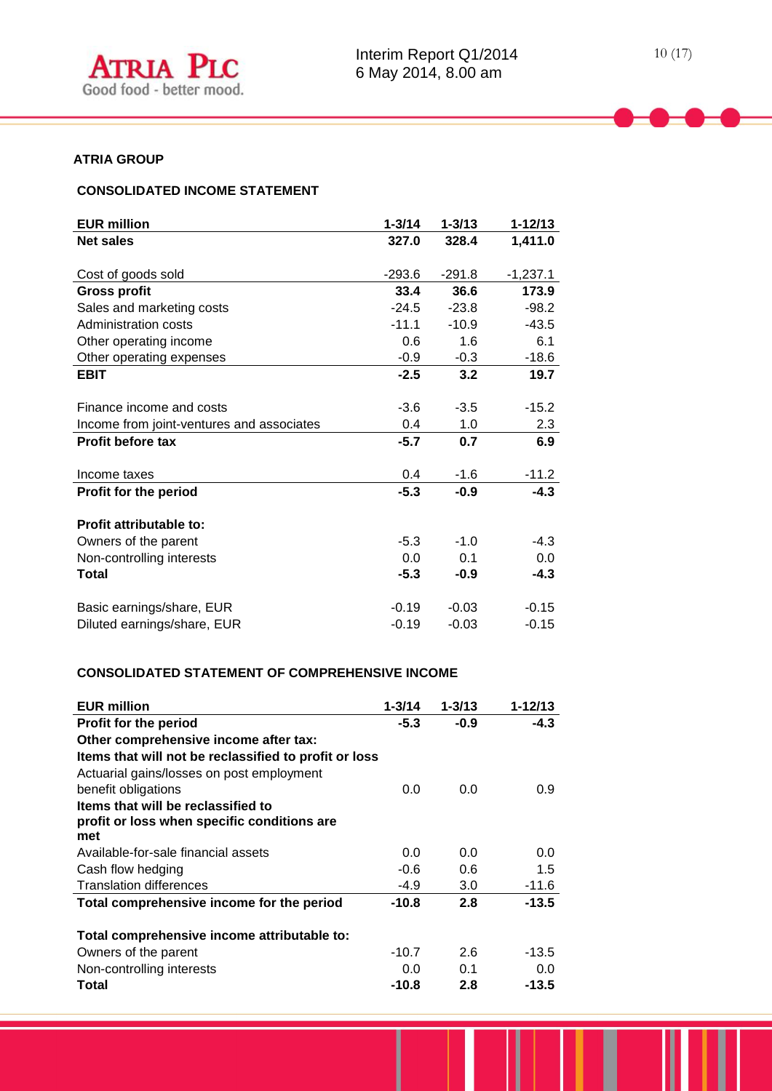

# **ATRIA GROUP**

# **CONSOLIDATED INCOME STATEMENT**

| <b>EUR million</b>                        | $1 - 3/14$ | $1 - 3/13$ | $1 - 12/13$ |
|-------------------------------------------|------------|------------|-------------|
| <b>Net sales</b>                          | 327.0      | 328.4      | 1,411.0     |
|                                           |            |            |             |
| Cost of goods sold                        | $-293.6$   | $-291.8$   | $-1,237.1$  |
| <b>Gross profit</b>                       | 33.4       | 36.6       | 173.9       |
| Sales and marketing costs                 | $-24.5$    | $-23.8$    | $-98.2$     |
| Administration costs                      | $-11.1$    | $-10.9$    | $-43.5$     |
| Other operating income                    | 0.6        | 1.6        | 6.1         |
| Other operating expenses                  | $-0.9$     | $-0.3$     | $-18.6$     |
| <b>EBIT</b>                               | $-2.5$     | 3.2        | 19.7        |
|                                           |            |            |             |
| Finance income and costs                  | $-3.6$     | $-3.5$     | $-15.2$     |
| Income from joint-ventures and associates | 0.4        | 1.0        | 2.3         |
| <b>Profit before tax</b>                  | $-5.7$     | 0.7        | 6.9         |
|                                           |            |            |             |
| Income taxes                              | 0.4        | $-1.6$     | $-11.2$     |
| <b>Profit for the period</b>              | $-5.3$     | $-0.9$     | $-4.3$      |
|                                           |            |            |             |
| Profit attributable to:                   |            |            |             |
| Owners of the parent                      | $-5.3$     | $-1.0$     | $-4.3$      |
| Non-controlling interests                 | 0.0        | 0.1        | 0.0         |
| Total                                     | $-5.3$     | $-0.9$     | $-4.3$      |
| Basic earnings/share, EUR                 | $-0.19$    | $-0.03$    | $-0.15$     |
| Diluted earnings/share, EUR               | $-0.19$    | $-0.03$    | $-0.15$     |
|                                           |            |            |             |

# **CONSOLIDATED STATEMENT OF COMPREHENSIVE INCOME**

| <b>EUR million</b>                                    | $1 - 3/14$ | $1 - 3/13$ | 1-12/13 |
|-------------------------------------------------------|------------|------------|---------|
| <b>Profit for the period</b>                          | $-5.3$     | $-0.9$     | $-4.3$  |
| Other comprehensive income after tax:                 |            |            |         |
| Items that will not be reclassified to profit or loss |            |            |         |
| Actuarial gains/losses on post employment             |            |            |         |
| benefit obligations                                   | 0.0        | 0.0        | 0.9     |
| Items that will be reclassified to                    |            |            |         |
| profit or loss when specific conditions are           |            |            |         |
| met                                                   |            |            |         |
| Available-for-sale financial assets                   | 0.0        | 0.0        | 0.0     |
| Cash flow hedging                                     | $-0.6$     | 0.6        | $1.5\,$ |
| <b>Translation differences</b>                        | -4.9       | 3.0        | $-11.6$ |
| Total comprehensive income for the period             | -10.8      | 2.8        | $-13.5$ |
| Total comprehensive income attributable to:           |            |            |         |
| Owners of the parent                                  | $-10.7$    | 2.6        | $-13.5$ |
| Non-controlling interests                             | 0.0        | 0.1        | 0.0     |
| Total                                                 | $-10.8$    | 2.8        | -13.5   |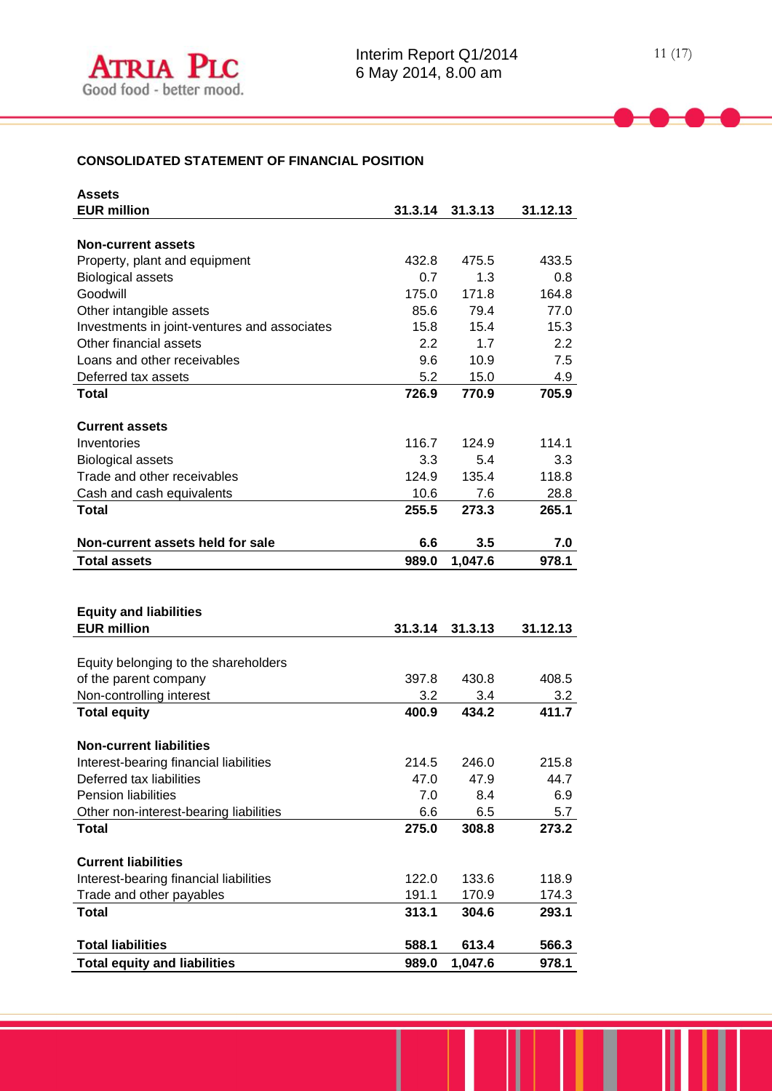# **CONSOLIDATED STATEMENT OF FINANCIAL POSITION**

| <b>Assets</b>                                                   |         |         |          |
|-----------------------------------------------------------------|---------|---------|----------|
| <b>EUR million</b>                                              | 31.3.14 | 31.3.13 | 31.12.13 |
|                                                                 |         |         |          |
| <b>Non-current assets</b>                                       |         |         |          |
| Property, plant and equipment                                   | 432.8   | 475.5   | 433.5    |
| <b>Biological assets</b>                                        | 0.7     | 1.3     | 0.8      |
| Goodwill                                                        | 175.0   | 171.8   | 164.8    |
| Other intangible assets                                         | 85.6    | 79.4    | 77.0     |
| Investments in joint-ventures and associates                    | 15.8    | 15.4    | 15.3     |
| Other financial assets                                          | 2.2     | 1.7     | 2.2      |
| Loans and other receivables                                     | 9.6     | 10.9    | 7.5      |
| Deferred tax assets                                             | 5.2     | 15.0    | 4.9      |
| <b>Total</b>                                                    | 726.9   | 770.9   | 705.9    |
|                                                                 |         |         |          |
| <b>Current assets</b>                                           |         |         |          |
| Inventories                                                     | 116.7   | 124.9   | 114.1    |
| <b>Biological assets</b>                                        | 3.3     | 5.4     | 3.3      |
| Trade and other receivables                                     | 124.9   | 135.4   | 118.8    |
| Cash and cash equivalents                                       | 10.6    | 7.6     | 28.8     |
| <b>Total</b>                                                    | 255.5   | 273.3   | 265.1    |
|                                                                 |         |         |          |
| Non-current assets held for sale                                | 6.6     | 3.5     | 7.0      |
| <b>Total assets</b>                                             | 989.0   | 1,047.6 | 978.1    |
|                                                                 |         |         |          |
|                                                                 |         |         |          |
|                                                                 |         |         |          |
|                                                                 |         |         |          |
| <b>Equity and liabilities</b>                                   |         |         |          |
| <b>EUR million</b>                                              | 31.3.14 | 31.3.13 | 31.12.13 |
|                                                                 |         |         |          |
| Equity belonging to the shareholders                            |         |         |          |
| of the parent company                                           | 397.8   | 430.8   | 408.5    |
| Non-controlling interest                                        | 3.2     | 3.4     | 3.2      |
| <b>Total equity</b>                                             | 400.9   | 434.2   | 411.7    |
|                                                                 |         |         |          |
| <b>Non-current liabilities</b>                                  |         |         |          |
| Interest-bearing financial liabilities                          | 214.5   | 246.0   | 215.8    |
| Deferred tax liabilities                                        | 47.0    | 47.9    | 44.7     |
| <b>Pension liabilities</b>                                      | 7.0     | 8.4     | 6.9      |
| Other non-interest-bearing liabilities                          | 6.6     | 6.5     | 5.7      |
| <b>Total</b>                                                    | 275.0   | 308.8   | 273.2    |
|                                                                 |         |         |          |
| <b>Current liabilities</b>                                      |         |         |          |
| Interest-bearing financial liabilities                          | 122.0   | 133.6   | 118.9    |
| Trade and other payables                                        | 191.1   | 170.9   | 174.3    |
| <b>Total</b>                                                    | 313.1   | 304.6   | 293.1    |
|                                                                 |         |         |          |
| <b>Total liabilities</b><br><b>Total equity and liabilities</b> | 588.1   | 613.4   | 566.3    |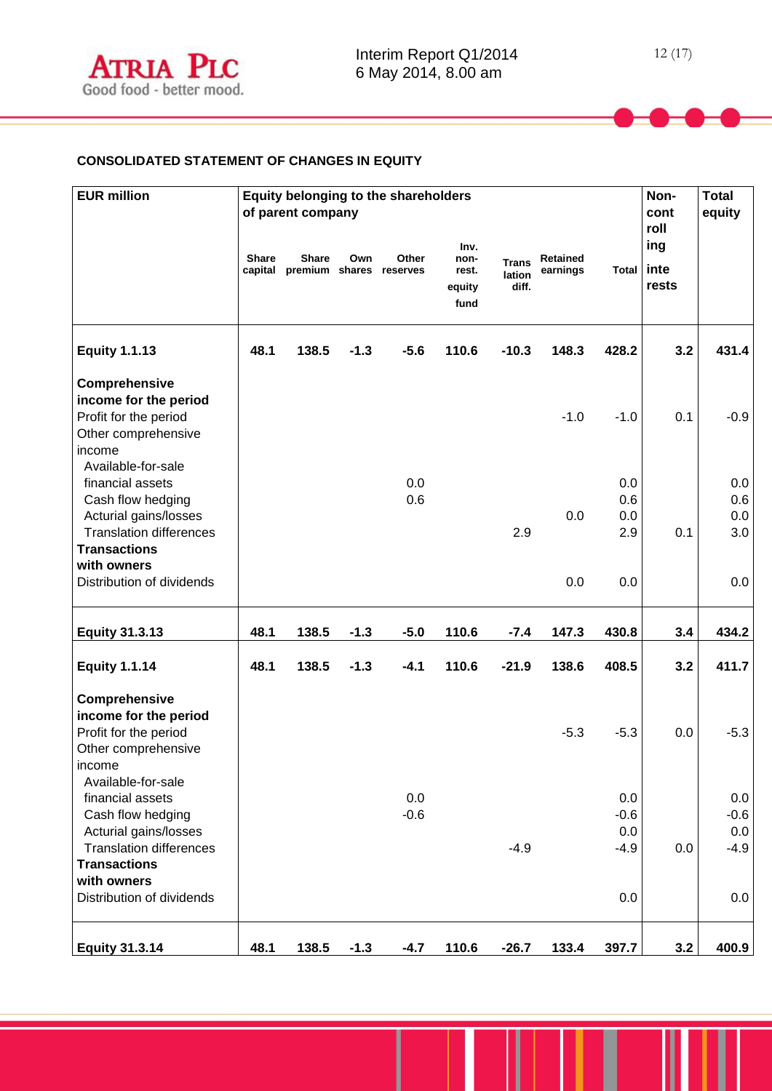## **CONSOLIDATED STATEMENT OF CHANGES IN EQUITY**

| <b>EUR million</b>                                                                     |              | of parent company                               |        | Equity belonging to the shareholders |                                         |                                 |                             |              | Non-<br>cont<br>roll | <b>Total</b><br>equity |
|----------------------------------------------------------------------------------------|--------------|-------------------------------------------------|--------|--------------------------------------|-----------------------------------------|---------------------------------|-----------------------------|--------------|----------------------|------------------------|
|                                                                                        | <b>Share</b> | <b>Share</b><br>capital premium shares reserves | Own    | Other                                | Inv.<br>non-<br>rest.<br>equity<br>fund | <b>Trans</b><br>lation<br>diff. | <b>Retained</b><br>earnings | <b>Total</b> | ing<br>inte<br>rests |                        |
| <b>Equity 1.1.13</b>                                                                   | 48.1         | 138.5                                           | $-1.3$ | $-5.6$                               | 110.6                                   | $-10.3$                         | 148.3                       | 428.2        | 3.2                  | 431.4                  |
| Comprehensive<br>income for the period<br>Profit for the period<br>Other comprehensive |              |                                                 |        |                                      |                                         |                                 | $-1.0$                      | $-1.0$       | 0.1                  | $-0.9$                 |
| income<br>Available-for-sale<br>financial assets                                       |              |                                                 |        | 0.0                                  |                                         |                                 |                             | 0.0          |                      | 0.0                    |
| Cash flow hedging<br>Acturial gains/losses                                             |              |                                                 |        | 0.6                                  |                                         |                                 | 0.0                         | 0.6<br>0.0   |                      | 0.6<br>0.0             |
| <b>Translation differences</b><br><b>Transactions</b><br>with owners                   |              |                                                 |        |                                      |                                         | 2.9                             |                             | 2.9          | 0.1                  | 3.0                    |
| Distribution of dividends                                                              |              |                                                 |        |                                      |                                         |                                 | 0.0                         | 0.0          |                      | 0.0                    |
| <b>Equity 31.3.13</b>                                                                  | 48.1         | 138.5                                           | $-1.3$ | $-5.0$                               | 110.6                                   | $-7.4$                          | 147.3                       | 430.8        | 3.4                  | 434.2                  |
| <b>Equity 1.1.14</b>                                                                   | 48.1         | 138.5                                           | $-1.3$ | $-4.1$                               | 110.6                                   | $-21.9$                         | 138.6                       | 408.5        | 3.2                  | 411.7                  |
| Comprehensive<br>income for the period                                                 |              |                                                 |        |                                      |                                         |                                 |                             |              |                      |                        |
| Profit for the period<br>Other comprehensive<br><b>Income</b>                          |              |                                                 |        |                                      |                                         |                                 | $-5.3$                      | $-5.3$       | 0.0                  | $-5.3$                 |
| Available-for-sale<br>financial assets                                                 |              |                                                 |        | 0.0                                  |                                         |                                 |                             | 0.0          |                      | 0.0                    |
| Cash flow hedging                                                                      |              |                                                 |        | $-0.6$                               |                                         |                                 |                             | $-0.6$       |                      | $-0.6$                 |
| Acturial gains/losses                                                                  |              |                                                 |        |                                      |                                         |                                 |                             | 0.0          |                      | 0.0                    |
| <b>Translation differences</b><br><b>Transactions</b><br>with owners                   |              |                                                 |        |                                      |                                         | $-4.9$                          |                             | $-4.9$       | 0.0                  | $-4.9$                 |
| Distribution of dividends                                                              |              |                                                 |        |                                      |                                         |                                 |                             | 0.0          |                      | 0.0                    |
| <b>Equity 31.3.14</b>                                                                  | 48.1         | 138.5                                           | $-1.3$ | $-4.7$                               | 110.6                                   | $-26.7$                         | 133.4                       | 397.7        | 3.2                  | 400.9                  |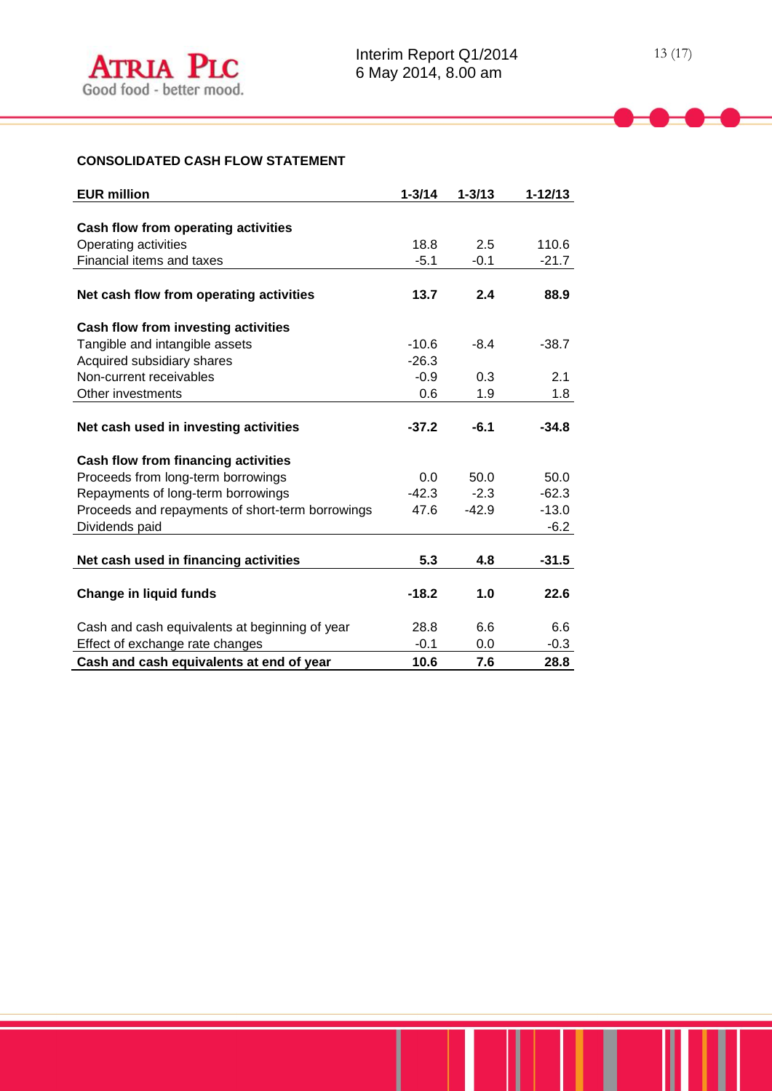# **CONSOLIDATED CASH FLOW STATEMENT**

| <b>EUR million</b>                               | $1 - 3/14$ | $1 - 3/13$ | $1 - 12/13$ |
|--------------------------------------------------|------------|------------|-------------|
|                                                  |            |            |             |
| Cash flow from operating activities              |            |            |             |
| Operating activities                             | 18.8       | 2.5        | 110.6       |
| Financial items and taxes                        | $-5.1$     | $-0.1$     | $-21.7$     |
|                                                  |            |            |             |
| Net cash flow from operating activities          | 13.7       | 2.4        | 88.9        |
| Cash flow from investing activities              |            |            |             |
| Tangible and intangible assets                   | $-10.6$    | $-8.4$     | $-38.7$     |
| Acquired subsidiary shares                       | $-26.3$    |            |             |
| Non-current receivables                          | $-0.9$     | 0.3        | 2.1         |
| Other investments                                | 0.6        | 1.9        | 1.8         |
|                                                  |            |            |             |
| Net cash used in investing activities            | $-37.2$    | $-6.1$     | $-34.8$     |
| Cash flow from financing activities              |            |            |             |
| Proceeds from long-term borrowings               | 0.0        | 50.0       | 50.0        |
| Repayments of long-term borrowings               | $-42.3$    | $-2.3$     | $-62.3$     |
| Proceeds and repayments of short-term borrowings | 47.6       | $-42.9$    | $-13.0$     |
| Dividends paid                                   |            |            | $-6.2$      |
|                                                  |            |            |             |
| Net cash used in financing activities            | 5.3        | 4.8        | $-31.5$     |
|                                                  |            |            |             |
| <b>Change in liquid funds</b>                    | $-18.2$    | 1.0        | 22.6        |
| Cash and cash equivalents at beginning of year   | 28.8       | 6.6        | 6.6         |
| Effect of exchange rate changes                  | $-0.1$     | 0.0        | $-0.3$      |
| Cash and cash equivalents at end of year         | 10.6       | 7.6        | 28.8        |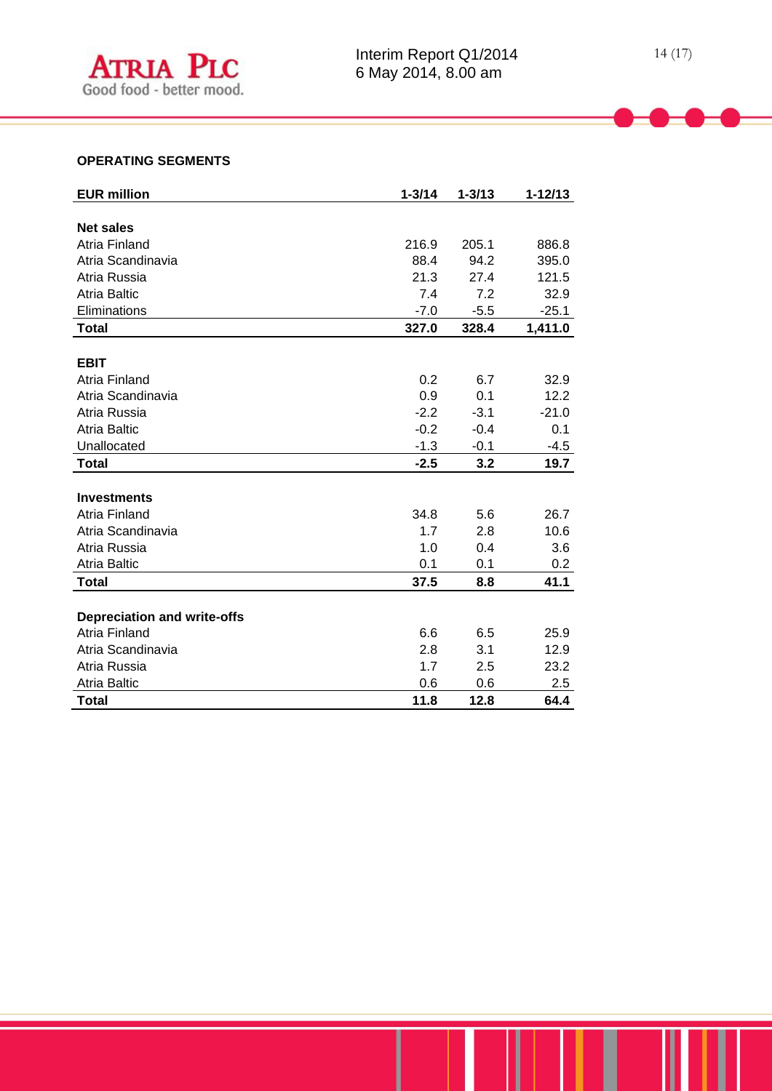# **OPERATING SEGMENTS**

| <b>EUR million</b>                 | $1 - 3/14$ | $1 - 3/13$ | $1 - 12/13$ |
|------------------------------------|------------|------------|-------------|
|                                    |            |            |             |
| <b>Net sales</b>                   |            |            |             |
| <b>Atria Finland</b>               | 216.9      | 205.1      | 886.8       |
| Atria Scandinavia                  | 88.4       | 94.2       | 395.0       |
| Atria Russia                       | 21.3       | 27.4       | 121.5       |
| <b>Atria Baltic</b>                | 7.4        | 7.2        | 32.9        |
| Eliminations                       | $-7.0$     | $-5.5$     | $-25.1$     |
| <b>Total</b>                       | 327.0      | 328.4      | 1,411.0     |
|                                    |            |            |             |
| <b>EBIT</b>                        |            |            |             |
| Atria Finland                      | 0.2        | 6.7        | 32.9        |
| Atria Scandinavia                  | 0.9        | 0.1        | 12.2        |
| Atria Russia                       | $-2.2$     | $-3.1$     | $-21.0$     |
| <b>Atria Baltic</b>                | $-0.2$     | $-0.4$     | 0.1         |
| Unallocated                        | $-1.3$     | $-0.1$     | $-4.5$      |
| <b>Total</b>                       | $-2.5$     | 3.2        | 19.7        |
|                                    |            |            |             |
| <b>Investments</b>                 |            |            |             |
| Atria Finland                      | 34.8       | 5.6        | 26.7        |
| Atria Scandinavia                  | 1.7        | 2.8        | 10.6        |
| Atria Russia                       | 1.0        | 0.4        | 3.6         |
| <b>Atria Baltic</b>                | 0.1        | 0.1        | $0.2\,$     |
| <b>Total</b>                       | 37.5       | 8.8        | 41.1        |
|                                    |            |            |             |
| <b>Depreciation and write-offs</b> |            |            |             |
| Atria Finland                      | 6.6        | 6.5        | 25.9        |
| Atria Scandinavia                  | 2.8        | 3.1        | 12.9        |
| Atria Russia                       | 1.7        | 2.5        | 23.2        |
| <b>Atria Baltic</b>                | 0.6        | 0.6        | 2.5         |
| <b>Total</b>                       | 11.8       | 12.8       | 64.4        |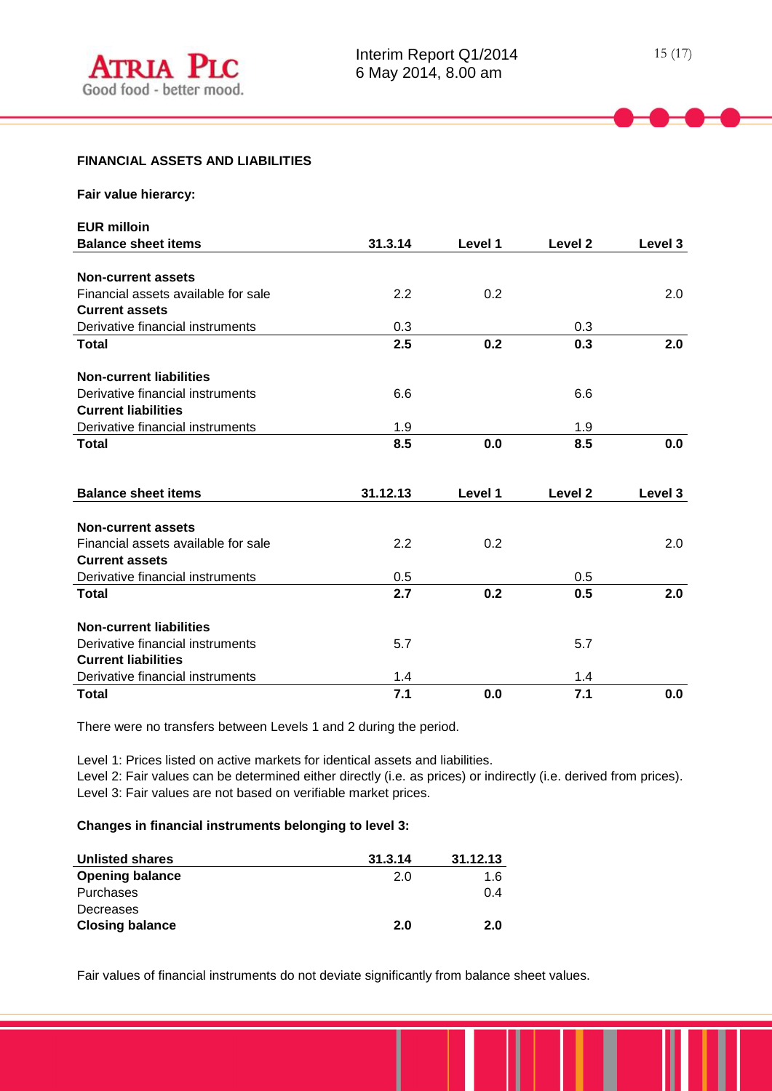#### **FINANCIAL ASSETS AND LIABILITIES**

| Fair value hierarcy:                |          |         |                    |         |
|-------------------------------------|----------|---------|--------------------|---------|
| <b>EUR milloin</b>                  |          |         |                    |         |
| <b>Balance sheet items</b>          | 31.3.14  | Level 1 | Level 2            | Level 3 |
|                                     |          |         |                    |         |
| <b>Non-current assets</b>           |          |         |                    |         |
| Financial assets available for sale | 2.2      | 0.2     |                    | 2.0     |
| <b>Current assets</b>               |          |         |                    |         |
| Derivative financial instruments    | 0.3      |         | 0.3                |         |
| <b>Total</b>                        | 2.5      | 0.2     | 0.3                | 2.0     |
| <b>Non-current liabilities</b>      |          |         |                    |         |
| Derivative financial instruments    | 6.6      |         | 6.6                |         |
| <b>Current liabilities</b>          |          |         |                    |         |
| Derivative financial instruments    | 1.9      |         | 1.9                |         |
| <b>Total</b>                        | 8.5      | 0.0     | 8.5                | 0.0     |
| <b>Balance sheet items</b>          | 31.12.13 | Level 1 | Level <sub>2</sub> | Level 3 |
|                                     |          |         |                    |         |
| <b>Non-current assets</b>           |          |         |                    |         |
| Financial assets available for sale | 2.2      | 0.2     |                    | 2.0     |
| <b>Current assets</b>               |          |         |                    |         |
| Derivative financial instruments    | 0.5      |         | 0.5                |         |
| <b>Total</b>                        | 2.7      | 0.2     | 0.5                | 2.0     |
| <b>Non-current liabilities</b>      |          |         |                    |         |
| Derivative financial instruments    | 5.7      |         | 5.7                |         |
| <b>Current liabilities</b>          |          |         |                    |         |
| Derivative financial instruments    | 1.4      |         | 1.4                |         |
| <b>Total</b>                        | 7.1      | 0.0     | 7.1                | 0.0     |

There were no transfers between Levels 1 and 2 during the period.

Level 1: Prices listed on active markets for identical assets and liabilities.

Level 2: Fair values can be determined either directly (i.e. as prices) or indirectly (i.e. derived from prices). Level 3: Fair values are not based on verifiable market prices.

# **Changes in financial instruments belonging to level 3:**

| <b>Unlisted shares</b> | 31.3.14 | 31.12.13 |
|------------------------|---------|----------|
| <b>Opening balance</b> | 2.0     | 1.6      |
| Purchases              |         | 0.4      |
| Decreases              |         |          |
| <b>Closing balance</b> | 2.0     | 2.0      |

Fair values of financial instruments do not deviate significantly from balance sheet values.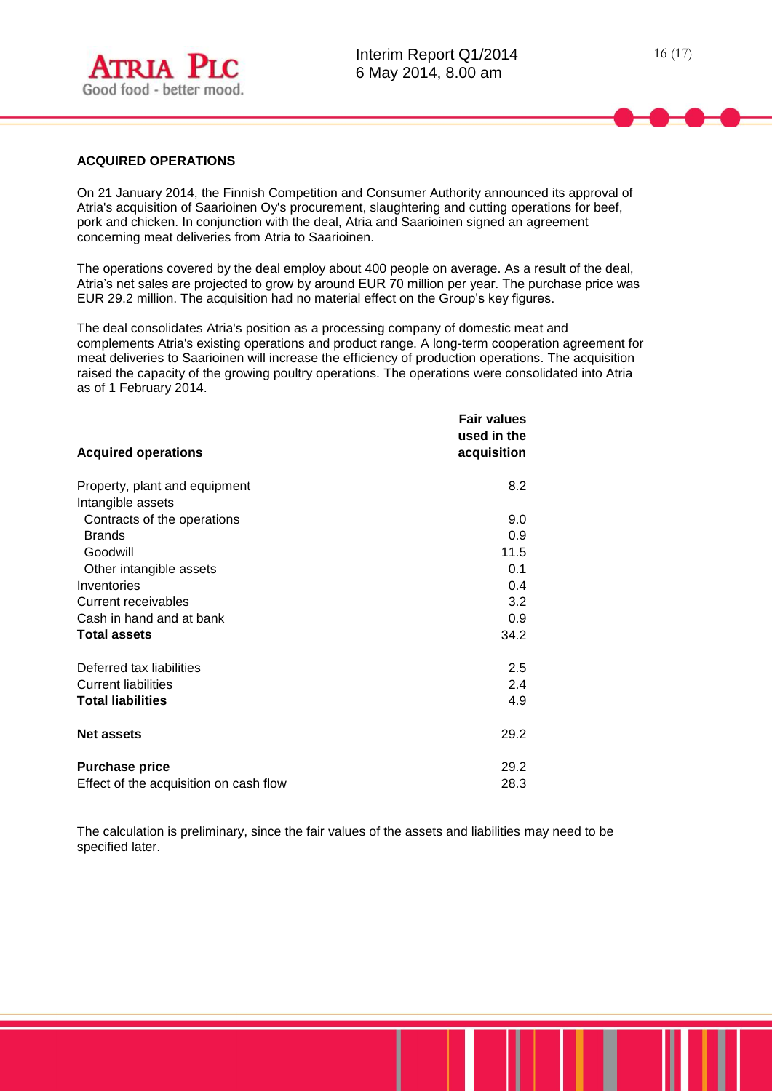

#### **ACQUIRED OPERATIONS**

On 21 January 2014, the Finnish Competition and Consumer Authority announced its approval of Atria's acquisition of Saarioinen Oy's procurement, slaughtering and cutting operations for beef, pork and chicken. In conjunction with the deal, Atria and Saarioinen signed an agreement concerning meat deliveries from Atria to Saarioinen.

The operations covered by the deal employ about 400 people on average. As a result of the deal, Atria's net sales are projected to grow by around EUR 70 million per year. The purchase price was EUR 29.2 million. The acquisition had no material effect on the Group's key figures.

The deal consolidates Atria's position as a processing company of domestic meat and complements Atria's existing operations and product range. A long-term cooperation agreement for meat deliveries to Saarioinen will increase the efficiency of production operations. The acquisition raised the capacity of the growing poultry operations. The operations were consolidated into Atria as of 1 February 2014.

|                                        | <b>Fair values</b> |
|----------------------------------------|--------------------|
|                                        | used in the        |
| <b>Acquired operations</b>             | acquisition        |
|                                        |                    |
| Property, plant and equipment          | 8.2                |
| Intangible assets                      |                    |
| Contracts of the operations            | 9.0                |
| <b>Brands</b>                          | 0.9                |
| Goodwill                               | 11.5               |
| Other intangible assets                | 0.1                |
| Inventories                            | 0.4                |
| Current receivables                    | 3.2                |
| Cash in hand and at bank               | 0.9                |
| <b>Total assets</b>                    | 34.2               |
| Deferred tax liabilities               | 2.5                |
| <b>Current liabilities</b>             | 2.4                |
| <b>Total liabilities</b>               | 4.9                |
| <b>Net assets</b>                      | 29.2               |
| <b>Purchase price</b>                  | 29.2               |
| Effect of the acquisition on cash flow | 28.3               |

The calculation is preliminary, since the fair values of the assets and liabilities may need to be specified later.